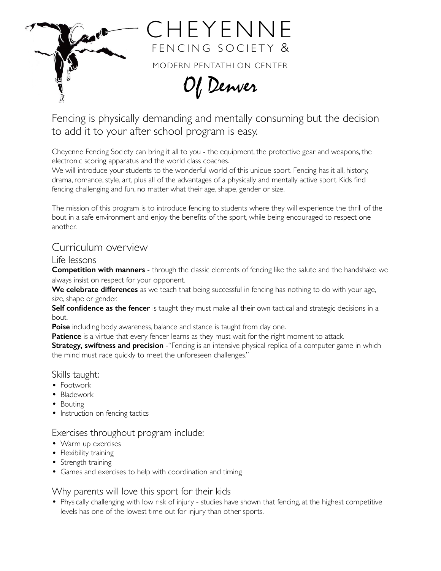

Fencing is physically demanding and mentally consuming but the decision to add it to your after school program is easy.

Of Denver

Cheyenne Fencing Society can bring it all to you - the equipment, the protective gear and weapons, the electronic scoring apparatus and the world class coaches.

We will introduce your students to the wonderful world of this unique sport. Fencing has it all, history, drama, romance, style, art, plus all of the advantages of a physically and mentally active sport. Kids find fencing challenging and fun, no matter what their age, shape, gender or size.

The mission of this program is to introduce fencing to students where they will experience the thrill of the bout in a safe environment and enjoy the benefits of the sport, while being encouraged to respect one another.

# Curriculum overview

### Life lessons

**Competition with manners** - through the classic elements of fencing like the salute and the handshake we always insist on respect for your opponent.

**We celebrate differences** as we teach that being successful in fencing has nothing to do with your age, size, shape or gender.

**Self confidence as the fencer** is taught they must make all their own tactical and strategic decisions in a bout.

**Poise** including body awareness, balance and stance is taught from day one.

**Patience** is a virtue that every fencer learns as they must wait for the right moment to attack.

**Strategy, swiftness and precision** - "Fencing is an intensive physical replica of a computer game in which the mind must race quickly to meet the unforeseen challenges."

### Skills taught:

- Footwork
- Bladework
- Bouting
- Instruction on fencing tactics

# Exercises throughout program include:

- Warm up exercises
- Flexibility training
- Strength training
- Games and exercises to help with coordination and timing

# Why parents will love this sport for their kids

• Physically challenging with low risk of injury - studies have shown that fencing, at the highest competitive levels has one of the lowest time out for injury than other sports.